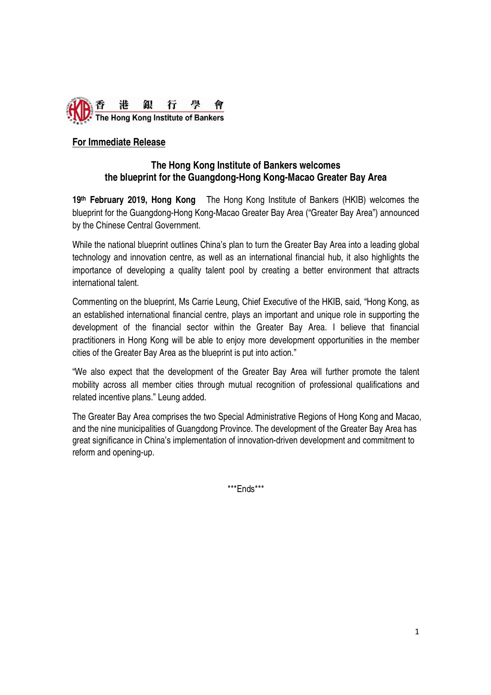

# **For Immediate Release**

## **The Hong Kong Institute of Bankers welcomes the blueprint for the Guangdong-Hong Kong-Macao Greater Bay Area**

**19th February 2019, Hong Kong** The Hong Kong Institute of Bankers (HKIB) welcomes the blueprint for the Guangdong-Hong Kong-Macao Greater Bay Area ("Greater Bay Area") announced by the Chinese Central Government.

While the national blueprint outlines China's plan to turn the Greater Bay Area into a leading global technology and innovation centre, as well as an international financial hub, it also highlights the importance of developing a quality talent pool by creating a better environment that attracts international talent.

Commenting on the blueprint, Ms Carrie Leung, Chief Executive of the HKIB, said, "Hong Kong, as an established international financial centre, plays an important and unique role in supporting the development of the financial sector within the Greater Bay Area. I believe that financial practitioners in Hong Kong will be able to enjoy more development opportunities in the member cities of the Greater Bay Area as the blueprint is put into action."

"We also expect that the development of the Greater Bay Area will further promote the talent mobility across all member cities through mutual recognition of professional qualifications and related incentive plans." Leung added.

The Greater Bay Area comprises the two Special Administrative Regions of Hong Kong and Macao, and the nine municipalities of Guangdong Province. The development of the Greater Bay Area has great significance in China's implementation of innovation-driven development and commitment to reform and opening-up.

\*\*\*Ends\*\*\*